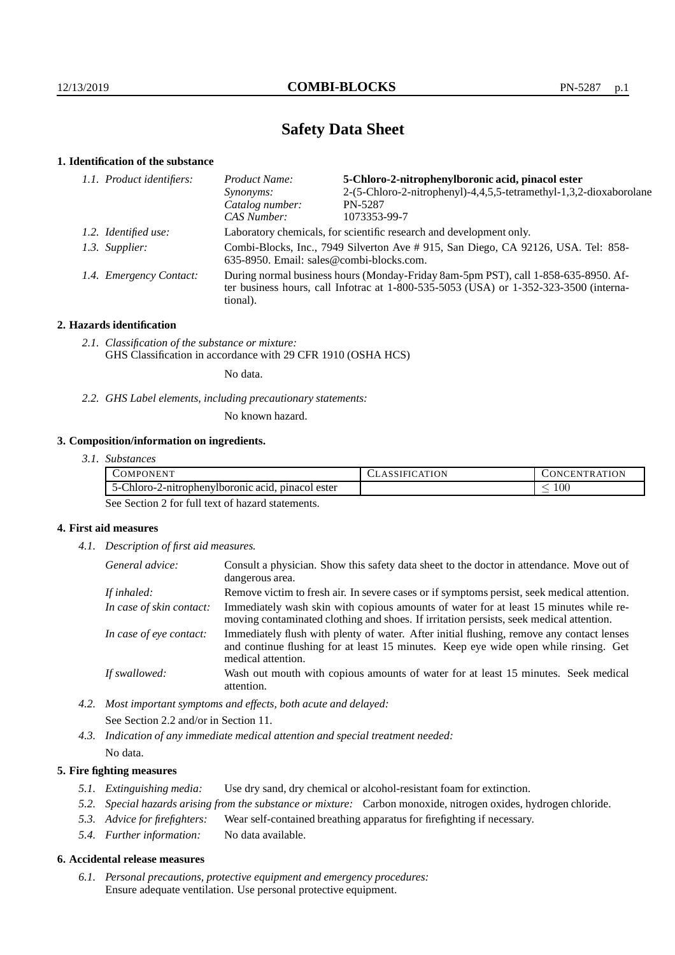# **Safety Data Sheet**

## **1. Identification of the substance**

| Product Name:                                                                                                                                                                           | 5-Chloro-2-nitrophenylboronic acid, pinacol ester                  |  |
|-----------------------------------------------------------------------------------------------------------------------------------------------------------------------------------------|--------------------------------------------------------------------|--|
| <i>Synonyms:</i>                                                                                                                                                                        | 2-(5-Chloro-2-nitrophenyl)-4,4,5,5-tetramethyl-1,3,2-dioxaborolane |  |
| Catalog number:                                                                                                                                                                         | PN-5287                                                            |  |
| CAS Number:                                                                                                                                                                             | 1073353-99-7                                                       |  |
| Laboratory chemicals, for scientific research and development only.                                                                                                                     |                                                                    |  |
| Combi-Blocks, Inc., 7949 Silverton Ave # 915, San Diego, CA 92126, USA. Tel: 858-<br>635-8950. Email: sales@combi-blocks.com.                                                           |                                                                    |  |
| During normal business hours (Monday-Friday 8am-5pm PST), call 1-858-635-8950. Af-<br>ter business hours, call Infotrac at 1-800-535-5053 (USA) or 1-352-323-3500 (interna-<br>tional). |                                                                    |  |
| 1.1. Product identifiers:<br>1.2. Identified use:<br>1.3. Supplier:<br>1.4. Emergency Contact:                                                                                          |                                                                    |  |

## **2. Hazards identification**

*2.1. Classification of the substance or mixture:* GHS Classification in accordance with 29 CFR 1910 (OSHA HCS)

No data.

*2.2. GHS Label elements, including precautionary statements:*

No known hazard.

## **3. Composition/information on ingredients.**

| 3.1. Substances |
|-----------------|
|                 |

| √MP⊑<br>AJNEN.                                                                    | <br><b>\TION</b><br>1 N L<br><b>HN</b><br>`R A |
|-----------------------------------------------------------------------------------|------------------------------------------------|
| $\sim$ $\sim$<br>pinacol<br>2-nitrophenylboronic acid.<br>ester<br>∴hloro-<br>ר ר | 100                                            |

See Section 2 for full text of hazard statements.

## **4. First aid measures**

*4.1. Description of first aid measures.*

| General advice:          | Consult a physician. Show this safety data sheet to the doctor in attendance. Move out of<br>dangerous area.                                                                                            |
|--------------------------|---------------------------------------------------------------------------------------------------------------------------------------------------------------------------------------------------------|
| If inhaled:              | Remove victim to fresh air. In severe cases or if symptoms persist, seek medical attention.                                                                                                             |
| In case of skin contact: | Immediately wash skin with copious amounts of water for at least 15 minutes while re-<br>moving contaminated clothing and shoes. If irritation persists, seek medical attention.                        |
| In case of eye contact:  | Immediately flush with plenty of water. After initial flushing, remove any contact lenses<br>and continue flushing for at least 15 minutes. Keep eye wide open while rinsing. Get<br>medical attention. |
| If swallowed:            | Wash out mouth with copious amounts of water for at least 15 minutes. Seek medical<br>attention.                                                                                                        |

*4.2. Most important symptoms and effects, both acute and delayed:* See Section 2.2 and/or in Section 11.

*4.3. Indication of any immediate medical attention and special treatment needed:* No data.

## **5. Fire fighting measures**

- *5.1. Extinguishing media:* Use dry sand, dry chemical or alcohol-resistant foam for extinction.
- *5.2. Special hazards arising from the substance or mixture:* Carbon monoxide, nitrogen oxides, hydrogen chloride.
- *5.3. Advice for firefighters:* Wear self-contained breathing apparatus for firefighting if necessary.
- *5.4. Further information:* No data available.

#### **6. Accidental release measures**

*6.1. Personal precautions, protective equipment and emergency procedures:* Ensure adequate ventilation. Use personal protective equipment.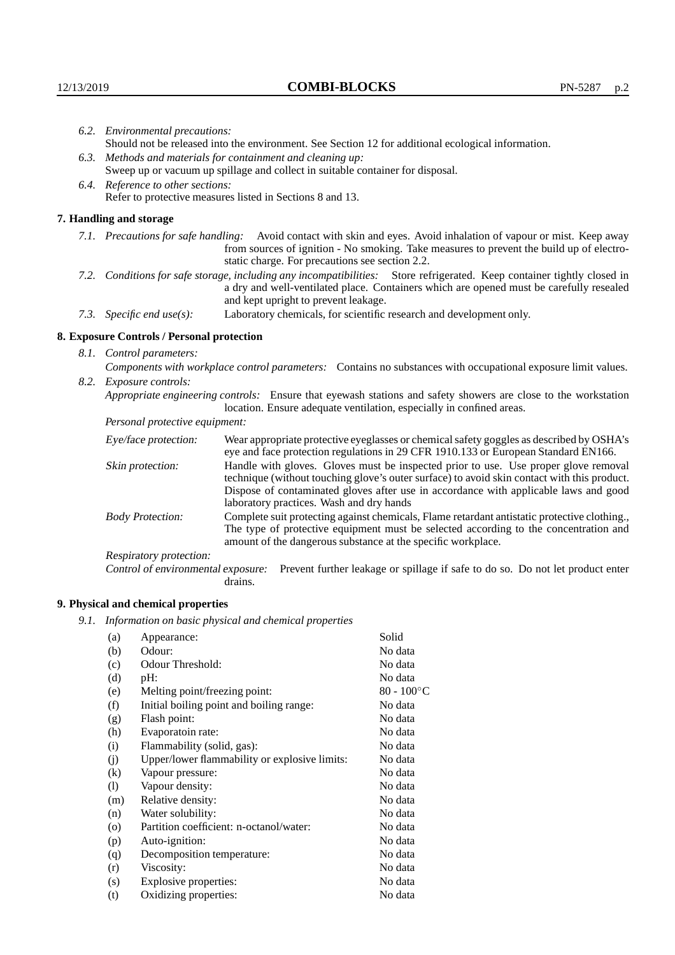|                                | 6.2. Environmental precautions:                                                                                                                                                                                                                            |                                                                                                                                                                                                                                                                            |  |
|--------------------------------|------------------------------------------------------------------------------------------------------------------------------------------------------------------------------------------------------------------------------------------------------------|----------------------------------------------------------------------------------------------------------------------------------------------------------------------------------------------------------------------------------------------------------------------------|--|
|                                | Should not be released into the environment. See Section 12 for additional ecological information.                                                                                                                                                         |                                                                                                                                                                                                                                                                            |  |
|                                | 6.3. Methods and materials for containment and cleaning up:                                                                                                                                                                                                |                                                                                                                                                                                                                                                                            |  |
|                                |                                                                                                                                                                                                                                                            | Sweep up or vacuum up spillage and collect in suitable container for disposal.                                                                                                                                                                                             |  |
|                                | 6.4. Reference to other sections:                                                                                                                                                                                                                          |                                                                                                                                                                                                                                                                            |  |
|                                | Refer to protective measures listed in Sections 8 and 13.                                                                                                                                                                                                  |                                                                                                                                                                                                                                                                            |  |
|                                | 7. Handling and storage                                                                                                                                                                                                                                    |                                                                                                                                                                                                                                                                            |  |
|                                |                                                                                                                                                                                                                                                            | 7.1. Precautions for safe handling: Avoid contact with skin and eyes. Avoid inhalation of vapour or mist. Keep away<br>from sources of ignition - No smoking. Take measures to prevent the build up of electro-<br>static charge. For precautions see section 2.2.         |  |
|                                | 7.2. Conditions for safe storage, including any incompatibilities: Store refrigerated. Keep container tightly closed in<br>a dry and well-ventilated place. Containers which are opened must be carefully resealed<br>and kept upright to prevent leakage. |                                                                                                                                                                                                                                                                            |  |
|                                | 7.3. Specific end use(s):                                                                                                                                                                                                                                  | Laboratory chemicals, for scientific research and development only.                                                                                                                                                                                                        |  |
|                                | 8. Exposure Controls / Personal protection                                                                                                                                                                                                                 |                                                                                                                                                                                                                                                                            |  |
|                                | 8.1. Control parameters:                                                                                                                                                                                                                                   |                                                                                                                                                                                                                                                                            |  |
|                                | Components with workplace control parameters: Contains no substances with occupational exposure limit values.                                                                                                                                              |                                                                                                                                                                                                                                                                            |  |
|                                | 8.2. Exposure controls:                                                                                                                                                                                                                                    |                                                                                                                                                                                                                                                                            |  |
|                                |                                                                                                                                                                                                                                                            | Appropriate engineering controls: Ensure that eyewash stations and safety showers are close to the workstation<br>location. Ensure adequate ventilation, especially in confined areas.                                                                                     |  |
| Personal protective equipment: |                                                                                                                                                                                                                                                            |                                                                                                                                                                                                                                                                            |  |
|                                | Eye/face protection:                                                                                                                                                                                                                                       | Wear appropriate protective eyeglasses or chemical safety goggles as described by OSHA's<br>eye and face protection regulations in 29 CFR 1910.133 or European Standard EN166.                                                                                             |  |
|                                | Skin protection:                                                                                                                                                                                                                                           | Handle with gloves. Gloves must be inspected prior to use. Use proper glove removal<br>technique (without touching glove's outer surface) to avoid skin contact with this product.<br>Dispose of contaminated gloves after use in accordance with applicable laws and good |  |

laboratory practices. Wash and dry hands Body Protection: Complete suit protecting against chemicals, Flame retardant antistatic protective clothing., The type of protective equipment must be selected according to the concentration and amount of the dangerous substance at the specific workplace.

Respiratory protection:

Control of environmental exposure: Prevent further leakage or spillage if safe to do so. Do not let product enter drains.

## **9. Physical and chemical properties**

*9.1. Information on basic physical and chemical properties*

| (a)                        | Appearance:                                   | Solid               |
|----------------------------|-----------------------------------------------|---------------------|
| (b)                        | Odour:                                        | No data             |
| (c)                        | Odour Threshold:                              | No data             |
| (d)                        | $pH$ :                                        | No data             |
| (e)                        | Melting point/freezing point:                 | $80 - 100^{\circ}C$ |
| (f)                        | Initial boiling point and boiling range:      | No data             |
| (g)                        | Flash point:                                  | No data             |
| (h)                        | Evaporatoin rate:                             | No data             |
| (i)                        | Flammability (solid, gas):                    | No data             |
| (j)                        | Upper/lower flammability or explosive limits: | No data             |
| $\left( k\right)$          | Vapour pressure:                              | No data             |
| $\left( \mathrm{l}\right)$ | Vapour density:                               | No data             |
| (m)                        | Relative density:                             | No data             |
| (n)                        | Water solubility:                             | No data             |
| $\circ$                    | Partition coefficient: n-octanol/water:       | No data             |
| (p)                        | Auto-ignition:                                | No data             |
| (q)                        | Decomposition temperature:                    | No data             |
| (r)                        | Viscosity:                                    | No data             |
| (s)                        | Explosive properties:                         | No data             |
| (t)                        | Oxidizing properties:                         | No data             |